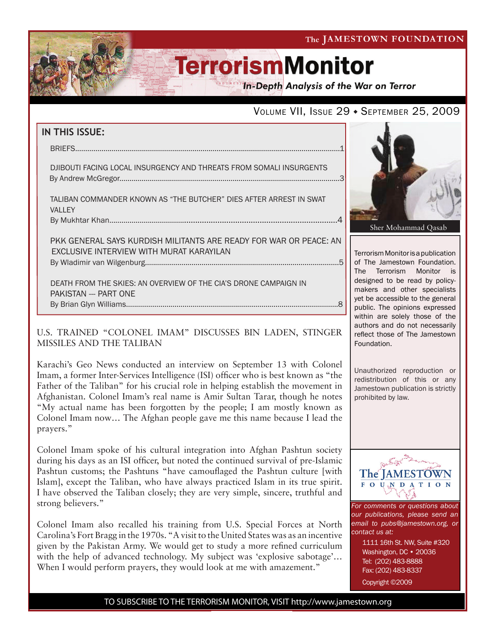The JAMESTOWN FOUNDATION

# **TerrorismMonitor**

**In-Depth Analysis of the War on Terror** 

### VOLUME VII, ISSUE 29 + SEPTEMBER 25, 2009

| IN THIS ISSUE:                                                                                                |  |
|---------------------------------------------------------------------------------------------------------------|--|
|                                                                                                               |  |
| DJIBOUTI FACING LOCAL INSURGENCY AND THREATS FROM SOMALI INSURGENTS                                           |  |
| TALIBAN COMMANDER KNOWN AS "THE BUTCHER" DIES AFTER ARREST IN SWAT<br><b>VALLEY</b>                           |  |
|                                                                                                               |  |
| PKK GENERAL SAYS KURDISH MILITANTS ARE READY FOR WAR OR PEACE: AN<br>EXCLUSIVE INTERVIEW WITH MURAT KARAYILAN |  |
| DEATH FROM THE SKIES: AN OVERVIEW OF THE CIA'S DRONE CAMPAIGN IN<br>PAKISTAN --- PART ONE                     |  |

### U.S. TRAINED "COLONEL IMAM" DISCUSSES BIN LADEN, STINGER MISSILES AND THE TALIBAN

f

By Brian Glyn Williams.........................................................................................................8

Karachi's Geo News conducted an interview on September 13 with Colonel Imam, a former Inter-Services Intelligence (ISI) officer who is best known as "the Father of the Taliban" for his crucial role in helping establish the movement in Afghanistan. Colonel Imam's real name is Amir Sultan Tarar, though he notes "My actual name has been forgotten by the people; I am mostly known as Colonel Imam now… The Afghan people gave me this name because I lead the prayers."

Colonel Imam spoke of his cultural integration into Afghan Pashtun society during his days as an ISI officer, but noted the continued survival of pre-Islamic Pashtun customs; the Pashtuns "have camouflaged the Pashtun culture [with Islam], except the Taliban, who have always practiced Islam in its true spirit. I have observed the Taliban closely; they are very simple, sincere, truthful and strong believers."

Colonel Imam also recalled his training from U.S. Special Forces at North Carolina's Fort Bragg in the 1970s. "A visit to the United States was as an incentive given by the Pakistan Army. We would get to study a more refined curriculum with the help of advanced technology. My subject was 'explosive sabotage'... When I would perform prayers, they would look at me with amazement."



Terrorism Monitor is a publication of The Jamestown Foundation. The Terrorism Monitor is designed to be read by policymakers and other specialists yet be accessible to the general public. The opinions expressed within are solely those of the authors and do not necessarily reflect those of The Jamestown Foundation.

Unauthorized reproduction or redistribution of this or any Jamestown publication is strictly prohibited by law.



*For comments or questions about our publications, please send an email to pubs@jamestown.org, or contact us at:* 

> 1111 16th St. NW, Suite #320 Washington, DC • 20036 Tel: (202) 483-8888 Fax: (202) 483-8337 Copyright ©2009

TO SUBSCRIBE TO THE TERRORISM MONITOR, VISIT http://www.jamestown.org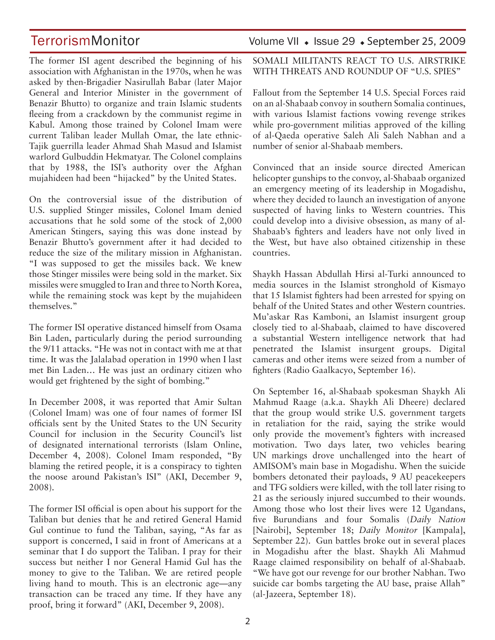The former ISI agent described the beginning of his association with Afghanistan in the 1970s, when he was asked by then-Brigadier Nasirullah Babar (later Major General and Interior Minister in the government of Benazir Bhutto) to organize and train Islamic students fleeing from a crackdown by the communist regime in Kabul. Among those trained by Colonel Imam were current Taliban leader Mullah Omar, the late ethnic-Tajik guerrilla leader Ahmad Shah Masud and Islamist warlord Gulbuddin Hekmatyar. The Colonel complains that by 1988, the ISI's authority over the Afghan mujahideen had been "hijacked" by the United States.

On the controversial issue of the distribution of U.S. supplied Stinger missiles, Colonel Imam denied accusations that he sold some of the stock of 2,000 American Stingers, saying this was done instead by Benazir Bhutto's government after it had decided to reduce the size of the military mission in Afghanistan. "I was supposed to get the missiles back. We knew those Stinger missiles were being sold in the market. Six missiles were smuggled to Iran and three to North Korea, while the remaining stock was kept by the mujahideen themselves."

The former ISI operative distanced himself from Osama Bin Laden, particularly during the period surrounding the 9/11 attacks. "He was not in contact with me at that time. It was the Jalalabad operation in 1990 when I last met Bin Laden… He was just an ordinary citizen who would get frightened by the sight of bombing."

In December 2008, it was reported that Amir Sultan (Colonel Imam) was one of four names of former ISI officials sent by the United States to the UN Security Council for inclusion in the Security Council's list of designated international terrorists (Islam Online, December 4, 2008). Colonel Imam responded, "By blaming the retired people, it is a conspiracy to tighten the noose around Pakistan's ISI" (AKI, December 9, 2008).

The former ISI official is open about his support for the Taliban but denies that he and retired General Hamid Gul continue to fund the Taliban, saying, "As far as support is concerned, I said in front of Americans at a seminar that I do support the Taliban. I pray for their success but neither I nor General Hamid Gul has the money to give to the Taliban. We are retired people living hand to mouth. This is an electronic age—any transaction can be traced any time. If they have any proof, bring it forward" (AKI, December 9, 2008).

### TerrorismMonitor Volume VII • Issue 29 • September 25, 2009

SOMALI MILITANTS REACT TO U.S. AIRSTRIKE WITH THREATS AND ROUNDUP OF "U.S. SPIES"

Fallout from the September 14 U.S. Special Forces raid on an al-Shabaab convoy in southern Somalia continues, with various Islamist factions vowing revenge strikes while pro-government militias approved of the killing of al-Qaeda operative Saleh Ali Saleh Nabhan and a number of senior al-Shabaab members.

Convinced that an inside source directed American helicopter gunships to the convoy, al-Shabaab organized an emergency meeting of its leadership in Mogadishu, where they decided to launch an investigation of anyone suspected of having links to Western countries. This could develop into a divisive obsession, as many of al-Shabaab's fighters and leaders have not only lived in the West, but have also obtained citizenship in these countries.

Shaykh Hassan Abdullah Hirsi al-Turki announced to media sources in the Islamist stronghold of Kismayo that 15 Islamist fighters had been arrested for spying on behalf of the United States and other Western countries. Mu'askar Ras Kamboni, an Islamist insurgent group closely tied to al-Shabaab, claimed to have discovered a substantial Western intelligence network that had penetrated the Islamist insurgent groups. Digital cameras and other items were seized from a number of fighters (Radio Gaalkacyo, September 16).

On September 16, al-Shabaab spokesman Shaykh Ali Mahmud Raage (a.k.a. Shaykh Ali Dheere) declared that the group would strike U.S. government targets in retaliation for the raid, saying the strike would only provide the movement's fighters with increased motivation. Two days later, two vehicles bearing UN markings drove unchallenged into the heart of AMISOM's main base in Mogadishu. When the suicide bombers detonated their payloads, 9 AU peacekeepers and TFG soldiers were killed, with the toll later rising to 21 as the seriously injured succumbed to their wounds. Among those who lost their lives were 12 Ugandans, five Burundians and four Somalis (*Daily Nation*  [Nairobi], September 18; *Daily Monitor* [Kampala], September 22). Gun battles broke out in several places in Mogadishu after the blast. Shaykh Ali Mahmud Raage claimed responsibility on behalf of al-Shabaab. "We have got our revenge for our brother Nabhan. Two suicide car bombs targeting the AU base, praise Allah" (al-Jazeera, September 18).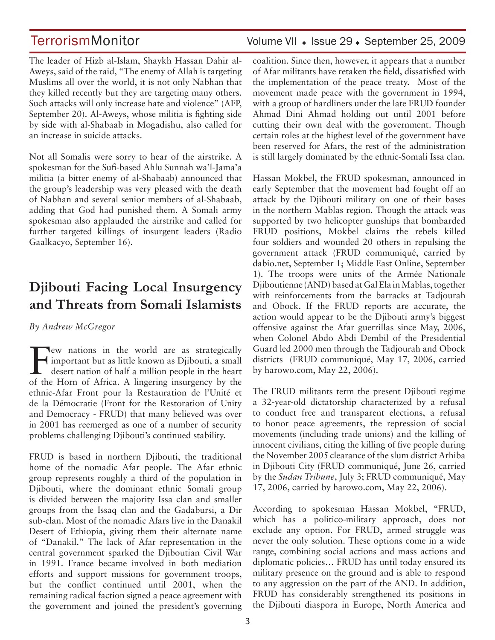## TerrorismMonitor Volume VII + Issue 29 + September 25, 2009

The leader of Hizb al-Islam, Shaykh Hassan Dahir al-Aweys, said of the raid, "The enemy of Allah is targeting Muslims all over the world, it is not only Nabhan that they killed recently but they are targeting many others. Such attacks will only increase hate and violence" (AFP, September 20). Al-Aweys, whose militia is fighting side by side with al-Shabaab in Mogadishu, also called for an increase in suicide attacks.

Not all Somalis were sorry to hear of the airstrike. A spokesman for the Sufi-based Ahlu Sunnah wa'l-Jama'a militia (a bitter enemy of al-Shabaab) announced that the group's leadership was very pleased with the death of Nabhan and several senior members of al-Shabaab, adding that God had punished them. A Somali army spokesman also applauded the airstrike and called for further targeted killings of insurgent leaders (Radio Gaalkacyo, September 16).

## **Djibouti Facing Local Insurgency and Threats from Somali Islamists**

### *By Andrew McGregor*

**Few nations in the world are as strategically**<br>
desert nation of half a million people in the heart<br>
of the Hern of Africa, A linearing insurgancy by the important but as little known as Djibouti, a small of the Horn of Africa. A lingering insurgency by the ethnic-Afar Front pour la Restauration de l'Unité et de la Démocratie (Front for the Restoration of Unity and Democracy - FRUD) that many believed was over in 2001 has reemerged as one of a number of security problems challenging Djibouti's continued stability.

FRUD is based in northern Djibouti, the traditional home of the nomadic Afar people. The Afar ethnic group represents roughly a third of the population in Djibouti, where the dominant ethnic Somali group is divided between the majority Issa clan and smaller groups from the Issaq clan and the Gadabursi, a Dir sub-clan. Most of the nomadic Afars live in the Danakil Desert of Ethiopia, giving them their alternate name of "Danakil." The lack of Afar representation in the central government sparked the Djiboutian Civil War in 1991. France became involved in both mediation efforts and support missions for government troops, but the conflict continued until 2001, when the remaining radical faction signed a peace agreement with the government and joined the president's governing coalition. Since then, however, it appears that a number of Afar militants have retaken the field, dissatisfied with the implementation of the peace treaty. Most of the movement made peace with the government in 1994, with a group of hardliners under the late FRUD founder Ahmad Dini Ahmad holding out until 2001 before cutting their own deal with the government. Though certain roles at the highest level of the government have been reserved for Afars, the rest of the administration is still largely dominated by the ethnic-Somali Issa clan.

Hassan Mokbel, the FRUD spokesman, announced in early September that the movement had fought off an attack by the Djibouti military on one of their bases in the northern Mablas region. Though the attack was supported by two helicopter gunships that bombarded FRUD positions, Mokbel claims the rebels killed four soldiers and wounded 20 others in repulsing the government attack (FRUD communiqué, carried by dabio.net, September 1; Middle East Online, September 1). The troops were units of the Armée Nationale Djiboutienne (AND) based at Gal Ela in Mablas, together with reinforcements from the barracks at Tadjourah and Obock. If the FRUD reports are accurate, the action would appear to be the Djibouti army's biggest offensive against the Afar guerrillas since May, 2006, when Colonel Abdo Abdi Dembil of the Presidential Guard led 2000 men through the Tadjourah and Obock districts (FRUD communiqué, May 17, 2006, carried by harowo.com, May 22, 2006).

The FRUD militants term the present Djibouti regime a 32-year-old dictatorship characterized by a refusal to conduct free and transparent elections, a refusal to honor peace agreements, the repression of social movements (including trade unions) and the killing of innocent civilians, citing the killing of five people during the November 2005 clearance of the slum district Arhiba in Djibouti City (FRUD communiqué, June 26, carried by the *Sudan Tribune*, July 3; FRUD communiqué, May 17, 2006, carried by harowo.com, May 22, 2006).

According to spokesman Hassan Mokbel, "FRUD, which has a politico-military approach, does not exclude any option. For FRUD, armed struggle was never the only solution. These options come in a wide range, combining social actions and mass actions and diplomatic policies… FRUD has until today ensured its military presence on the ground and is able to respond to any aggression on the part of the AND. In addition, FRUD has considerably strengthened its positions in the Djibouti diaspora in Europe, North America and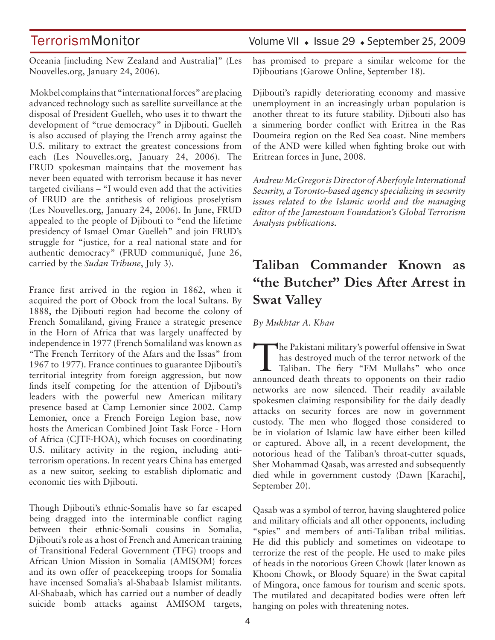Oceania [including New Zealand and Australia]" (Les Nouvelles.org, January 24, 2006).

 Mokbel complains that "international forces" are placing advanced technology such as satellite surveillance at the disposal of President Guelleh, who uses it to thwart the development of "true democracy" in Djibouti. Guelleh is also accused of playing the French army against the U.S. military to extract the greatest concessions from each (Les Nouvelles.org, January 24, 2006). The FRUD spokesman maintains that the movement has never been equated with terrorism because it has never targeted civilians – "I would even add that the activities of FRUD are the antithesis of religious proselytism (Les Nouvelles.org, January 24, 2006). In June, FRUD appealed to the people of Djibouti to "end the lifetime presidency of Ismael Omar Guelleh" and join FRUD's struggle for "justice, for a real national state and for authentic democracy" (FRUD communiqué, June 26, carried by the *Sudan Tribune*, July 3).

France first arrived in the region in 1862, when it acquired the port of Obock from the local Sultans. By 1888, the Djibouti region had become the colony of French Somaliland, giving France a strategic presence in the Horn of Africa that was largely unaffected by independence in 1977 (French Somaliland was known as "The French Territory of the Afars and the Issas" from 1967 to 1977). France continues to guarantee Djibouti's territorial integrity from foreign aggression, but now finds itself competing for the attention of Djibouti's leaders with the powerful new American military presence based at Camp Lemonier since 2002. Camp Lemonier, once a French Foreign Legion base, now hosts the American Combined Joint Task Force - Horn of Africa (CJTF-HOA), which focuses on coordinating U.S. military activity in the region, including antiterrorism operations. In recent years China has emerged as a new suitor, seeking to establish diplomatic and economic ties with Djibouti.

Though Djibouti's ethnic-Somalis have so far escaped being dragged into the interminable conflict raging between their ethnic-Somali cousins in Somalia, Djibouti's role as a host of French and American training of Transitional Federal Government (TFG) troops and African Union Mission in Somalia (AMISOM) forces and its own offer of peacekeeping troops for Somalia have incensed Somalia's al-Shabaab Islamist militants. Al-Shabaab, which has carried out a number of deadly suicide bomb attacks against AMISOM targets,

## TerrorismMonitor Volume VII + Issue 29 + September 25, 2009

has promised to prepare a similar welcome for the Djiboutians (Garowe Online, September 18).

Djibouti's rapidly deteriorating economy and massive unemployment in an increasingly urban population is another threat to its future stability. Djibouti also has a simmering border conflict with Eritrea in the Ras Doumeira region on the Red Sea coast. Nine members of the AND were killed when fighting broke out with Eritrean forces in June, 2008.

*Andrew McGregor is Director of Aberfoyle International Security, a Toronto-based agency specializing in security issues related to the Islamic world and the managing editor of the Jamestown Foundation's Global Terrorism Analysis publications.*

## **Taliban Commander Known as "the Butcher" Dies After Arrest in Swat Valley**

*By Mukhtar A. Khan* 

The Pakistani military's powerful offensive in Swat has destroyed much of the terror network of the Taliban. The fiery "FM Mullahs" who once has destroyed much of the terror network of the announced death threats to opponents on their radio networks are now silenced. Their readily available spokesmen claiming responsibility for the daily deadly attacks on security forces are now in government custody. The men who flogged those considered to be in violation of Islamic law have either been killed or captured. Above all, in a recent development, the notorious head of the Taliban's throat-cutter squads, Sher Mohammad Qasab, was arrested and subsequently died while in government custody (Dawn [Karachi], September 20).

Qasab was a symbol of terror, having slaughtered police and military officials and all other opponents, including "spies" and members of anti-Taliban tribal militias. He did this publicly and sometimes on videotape to terrorize the rest of the people. He used to make piles of heads in the notorious Green Chowk (later known as Khooni Chowk, or Bloody Square) in the Swat capital of Mingora, once famous for tourism and scenic spots. The mutilated and decapitated bodies were often left hanging on poles with threatening notes.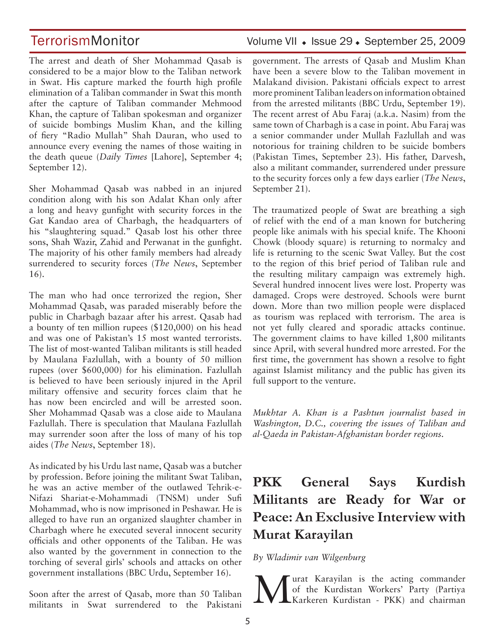The arrest and death of Sher Mohammad Qasab is considered to be a major blow to the Taliban network in Swat. His capture marked the fourth high profile elimination of a Taliban commander in Swat this month after the capture of Taliban commander Mehmood Khan, the capture of Taliban spokesman and organizer of suicide bombings Muslim Khan, and the killing of fiery "Radio Mullah" Shah Dauran, who used to announce every evening the names of those waiting in the death queue (*Daily Times* [Lahore], September 4; September 12).

Sher Mohammad Qasab was nabbed in an injured condition along with his son Adalat Khan only after a long and heavy gunfight with security forces in the Gat Kandao area of Charbagh, the headquarters of his "slaughtering squad." Qasab lost his other three sons, Shah Wazir, Zahid and Perwanat in the gunfight. The majority of his other family members had already surrendered to security forces (*The News*, September 16).

The man who had once terrorized the region, Sher Mohammad Qasab, was paraded miserably before the public in Charbagh bazaar after his arrest. Qasab had a bounty of ten million rupees (\$120,000) on his head and was one of Pakistan's 15 most wanted terrorists. The list of most-wanted Taliban militants is still headed by Maulana Fazlullah, with a bounty of 50 million rupees (over \$600,000) for his elimination. Fazlullah is believed to have been seriously injured in the April military offensive and security forces claim that he has now been encircled and will be arrested soon. Sher Mohammad Qasab was a close aide to Maulana Fazlullah. There is speculation that Maulana Fazlullah may surrender soon after the loss of many of his top aides (*The News*, September 18).

As indicated by his Urdu last name, Qasab was a butcher by profession. Before joining the militant Swat Taliban, he was an active member of the outlawed Tehrik-e-Nifazi Shariat-e-Mohammadi (TNSM) under Sufi Mohammad, who is now imprisoned in Peshawar. He is alleged to have run an organized slaughter chamber in Charbagh where he executed several innocent security officials and other opponents of the Taliban. He was also wanted by the government in connection to the torching of several girls' schools and attacks on other government installations (BBC Urdu, September 16).

Soon after the arrest of Qasab, more than 50 Taliban militants in Swat surrendered to the Pakistani

## TerrorismMonitor Volume VII • Issue 29 • September 25, 2009

government. The arrests of Qasab and Muslim Khan have been a severe blow to the Taliban movement in Malakand division. Pakistani officials expect to arrest more prominent Taliban leaders on information obtained from the arrested militants (BBC Urdu, September 19). The recent arrest of Abu Faraj (a.k.a. Nasim) from the same town of Charbagh is a case in point. Abu Faraj was a senior commander under Mullah Fazlullah and was notorious for training children to be suicide bombers (Pakistan Times, September 23). His father, Darvesh, also a militant commander, surrendered under pressure to the security forces only a few days earlier (*The News*, September 21).

The traumatized people of Swat are breathing a sigh of relief with the end of a man known for butchering people like animals with his special knife. The Khooni Chowk (bloody square) is returning to normalcy and life is returning to the scenic Swat Valley. But the cost to the region of this brief period of Taliban rule and the resulting military campaign was extremely high. Several hundred innocent lives were lost. Property was damaged. Crops were destroyed. Schools were burnt down. More than two million people were displaced as tourism was replaced with terrorism. The area is not yet fully cleared and sporadic attacks continue. The government claims to have killed 1,800 militants since April, with several hundred more arrested. For the first time, the government has shown a resolve to fight against Islamist militancy and the public has given its full support to the venture.

*Mukhtar A. Khan is a Pashtun journalist based in Washington, D.C., covering the issues of Taliban and al-Qaeda in Pakistan-Afghanistan border regions.*

## **PKK General Says Kurdish Militants are Ready for War or Peace: An Exclusive Interview with Murat Karayilan**

### *By Wladimir van Wilgenburg*

Murat Karayilan is the acting commander Karkeren Kurdistan - PKK) and chairman of the Kurdistan Workers' Party (Partiya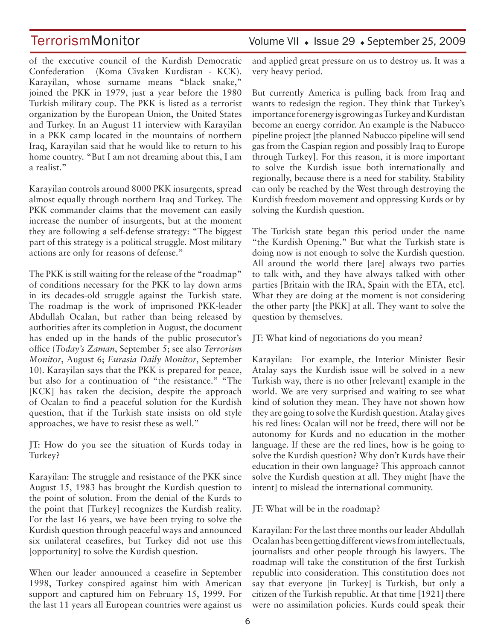of the executive council of the Kurdish Democratic Confederation (Koma Civaken Kurdistan - KCK). Karayilan, whose surname means "black snake," joined the PKK in 1979, just a year before the 1980 Turkish military coup. The PKK is listed as a terrorist organization by the European Union, the United States and Turkey. In an August 11 interview with Karayilan in a PKK camp located in the mountains of northern Iraq, Karayilan said that he would like to return to his home country. "But I am not dreaming about this, I am a realist."

Karayilan controls around 8000 PKK insurgents, spread almost equally through northern Iraq and Turkey. The PKK commander claims that the movement can easily increase the number of insurgents, but at the moment they are following a self-defense strategy: "The biggest part of this strategy is a political struggle. Most military actions are only for reasons of defense."

The PKK is still waiting for the release of the "roadmap" of conditions necessary for the PKK to lay down arms in its decades-old struggle against the Turkish state. The roadmap is the work of imprisoned PKK-leader Abdullah Ocalan, but rather than being released by authorities after its completion in August, the document has ended up in the hands of the public prosecutor's office (*Today's Zaman*, September 5; see also *Terrorism Monitor*, August 6; *Eurasia Daily Monitor*, September 10). Karayilan says that the PKK is prepared for peace, but also for a continuation of "the resistance." "The [KCK] has taken the decision, despite the approach of Ocalan to find a peaceful solution for the Kurdish question, that if the Turkish state insists on old style approaches, we have to resist these as well."

JT: How do you see the situation of Kurds today in Turkey?

Karayilan: The struggle and resistance of the PKK since August 15, 1983 has brought the Kurdish question to the point of solution. From the denial of the Kurds to the point that [Turkey] recognizes the Kurdish reality. For the last 16 years, we have been trying to solve the Kurdish question through peaceful ways and announced six unilateral ceasefires, but Turkey did not use this [opportunity] to solve the Kurdish question.

When our leader announced a ceasefire in September 1998, Turkey conspired against him with American support and captured him on February 15, 1999. For the last 11 years all European countries were against us

## TerrorismMonitor Volume VII + Issue 29 + September 25, 2009

and applied great pressure on us to destroy us. It was a very heavy period.

But currently America is pulling back from Iraq and wants to redesign the region. They think that Turkey's importance for energy is growing as Turkey and Kurdistan become an energy corridor. An example is the Nabucco pipeline project [the planned Nabucco pipeline will send gas from the Caspian region and possibly Iraq to Europe through Turkey]. For this reason, it is more important to solve the Kurdish issue both internationally and regionally, because there is a need for stability. Stability can only be reached by the West through destroying the Kurdish freedom movement and oppressing Kurds or by solving the Kurdish question.

The Turkish state began this period under the name "the Kurdish Opening." But what the Turkish state is doing now is not enough to solve the Kurdish question. All around the world there [are] always two parties to talk with, and they have always talked with other parties [Britain with the IRA, Spain with the ETA, etc]. What they are doing at the moment is not considering the other party [the PKK] at all. They want to solve the question by themselves.

JT: What kind of negotiations do you mean?

Karayilan: For example, the Interior Minister Besir Atalay says the Kurdish issue will be solved in a new Turkish way, there is no other [relevant] example in the world. We are very surprised and waiting to see what kind of solution they mean. They have not shown how they are going to solve the Kurdish question. Atalay gives his red lines: Ocalan will not be freed, there will not be autonomy for Kurds and no education in the mother language. If these are the red lines, how is he going to solve the Kurdish question? Why don't Kurds have their education in their own language? This approach cannot solve the Kurdish question at all. They might [have the intent] to mislead the international community.

JT: What will be in the roadmap?

Karayilan: For the last three months our leader Abdullah Ocalan has been getting different views from intellectuals, journalists and other people through his lawyers. The roadmap will take the constitution of the first Turkish republic into consideration. This constitution does not say that everyone [in Turkey] is Turkish, but only a citizen of the Turkish republic. At that time [1921] there were no assimilation policies. Kurds could speak their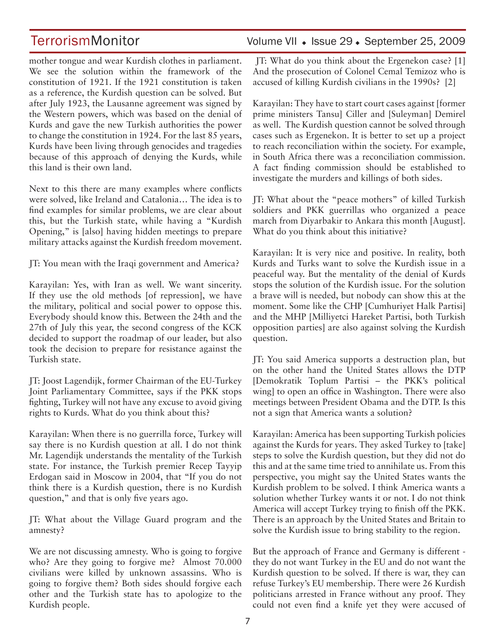mother tongue and wear Kurdish clothes in parliament. We see the solution within the framework of the constitution of 1921. If the 1921 constitution is taken as a reference, the Kurdish question can be solved. But after July 1923, the Lausanne agreement was signed by the Western powers, which was based on the denial of Kurds and gave the new Turkish authorities the power to change the constitution in 1924. For the last 85 years, Kurds have been living through genocides and tragedies because of this approach of denying the Kurds, while this land is their own land.

Next to this there are many examples where conflicts were solved, like Ireland and Catalonia… The idea is to find examples for similar problems, we are clear about this, but the Turkish state, while having a "Kurdish Opening," is [also] having hidden meetings to prepare military attacks against the Kurdish freedom movement.

JT: You mean with the Iraqi government and America?

Karayilan: Yes, with Iran as well. We want sincerity. If they use the old methods [of repression], we have the military, political and social power to oppose this. Everybody should know this. Between the 24th and the 27th of July this year, the second congress of the KCK decided to support the roadmap of our leader, but also took the decision to prepare for resistance against the Turkish state.

JT: Joost Lagendijk, former Chairman of the EU-Turkey Joint Parliamentary Committee, says if the PKK stops fighting, Turkey will not have any excuse to avoid giving rights to Kurds. What do you think about this?

Karayilan: When there is no guerrilla force, Turkey will say there is no Kurdish question at all. I do not think Mr. Lagendijk understands the mentality of the Turkish state. For instance, the Turkish premier Recep Tayyip Erdogan said in Moscow in 2004, that "If you do not think there is a Kurdish question, there is no Kurdish question," and that is only five years ago.

JT: What about the Village Guard program and the amnesty?

We are not discussing amnesty. Who is going to forgive who? Are they going to forgive me? Almost 70.000 civilians were killed by unknown assassins. Who is going to forgive them? Both sides should forgive each other and the Turkish state has to apologize to the Kurdish people.

## TerrorismMonitor Volume VII • Issue 29 • September 25, 2009

 JT: What do you think about the Ergenekon case? [1] And the prosecution of Colonel Cemal Temizoz who is accused of killing Kurdish civilians in the 1990s? [2]

Karayilan: They have to start court cases against [former prime ministers Tansu] Ciller and [Suleyman] Demirel as well. The Kurdish question cannot be solved through cases such as Ergenekon. It is better to set up a project to reach reconciliation within the society. For example, in South Africa there was a reconciliation commission. A fact finding commission should be established to investigate the murders and killings of both sides.

JT: What about the "peace mothers" of killed Turkish soldiers and PKK guerrillas who organized a peace march from Diyarbakir to Ankara this month [August]. What do you think about this initiative?

Karayilan: It is very nice and positive. In reality, both Kurds and Turks want to solve the Kurdish issue in a peaceful way. But the mentality of the denial of Kurds stops the solution of the Kurdish issue. For the solution a brave will is needed, but nobody can show this at the moment. Some like the CHP [Cumhuriyet Halk Partisi] and the MHP [Milliyetci Hareket Partisi, both Turkish opposition parties] are also against solving the Kurdish question.

JT: You said America supports a destruction plan, but on the other hand the United States allows the DTP [Demokratik Toplum Partisi – the PKK's political wing] to open an office in Washington. There were also meetings between President Obama and the DTP. Is this not a sign that America wants a solution?

Karayilan: America has been supporting Turkish policies against the Kurds for years. They asked Turkey to [take] steps to solve the Kurdish question, but they did not do this and at the same time tried to annihilate us. From this perspective, you might say the United States wants the Kurdish problem to be solved. I think America wants a solution whether Turkey wants it or not. I do not think America will accept Turkey trying to finish off the PKK. There is an approach by the United States and Britain to solve the Kurdish issue to bring stability to the region.

But the approach of France and Germany is different they do not want Turkey in the EU and do not want the Kurdish question to be solved. If there is war, they can refuse Turkey's EU membership. There were 26 Kurdish politicians arrested in France without any proof. They could not even find a knife yet they were accused of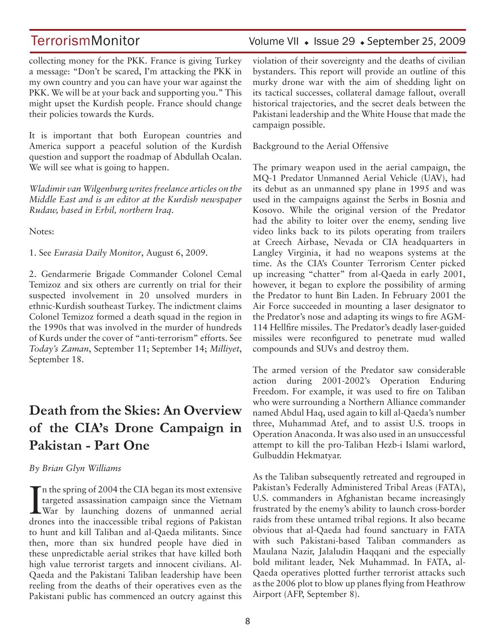collecting money for the PKK. France is giving Turkey a message: "Don't be scared, I'm attacking the PKK in my own country and you can have your war against the PKK. We will be at your back and supporting you." This might upset the Kurdish people. France should change their policies towards the Kurds.

It is important that both European countries and America support a peaceful solution of the Kurdish question and support the roadmap of Abdullah Ocalan. We will see what is going to happen.

*Wladimir van Wilgenburg writes freelance articles on the Middle East and is an editor at the Kurdish newspaper Rudaw, based in Erbil, northern Iraq.* 

Notes:

1. See *Eurasia Daily Monitor*, August 6, 2009.

2. Gendarmerie Brigade Commander Colonel Cemal Temizoz and six others are currently on trial for their suspected involvement in 20 unsolved murders in ethnic-Kurdish southeast Turkey. The indictment claims Colonel Temizoz formed a death squad in the region in the 1990s that was involved in the murder of hundreds of Kurds under the cover of "anti-terrorism" efforts. See *Today's Zaman*, September 11; September 14; *Milliyet*, September 18.

## **Death from the Skies: An Overview of the CIA's Drone Campaign in Pakistan - Part One**

*By Brian Glyn Williams* 

In the spring of 2004 the CIA began its most extensive<br>targeted assassination campaign since the Vietnam<br>War by launching dozens of unmanned aerial<br>dramas into the inascessible tribel regions of Belitter In the spring of 2004 the CIA began its most extensive targeted assassination campaign since the Vietnam drones into the inaccessible tribal regions of Pakistan to hunt and kill Taliban and al-Qaeda militants. Since then, more than six hundred people have died in these unpredictable aerial strikes that have killed both high value terrorist targets and innocent civilians. Al-Qaeda and the Pakistani Taliban leadership have been reeling from the deaths of their operatives even as the Pakistani public has commenced an outcry against this

## TerrorismMonitor Volume VII • Issue 29 • September 25, 2009

violation of their sovereignty and the deaths of civilian bystanders. This report will provide an outline of this murky drone war with the aim of shedding light on its tactical successes, collateral damage fallout, overall historical trajectories, and the secret deals between the Pakistani leadership and the White House that made the campaign possible.

Background to the Aerial Offensive

The primary weapon used in the aerial campaign, the MQ-1 Predator Unmanned Aerial Vehicle (UAV), had its debut as an unmanned spy plane in 1995 and was used in the campaigns against the Serbs in Bosnia and Kosovo. While the original version of the Predator had the ability to loiter over the enemy, sending live video links back to its pilots operating from trailers at Creech Airbase, Nevada or CIA headquarters in Langley Virginia, it had no weapons systems at the time. As the CIA's Counter Terrorism Center picked up increasing "chatter" from al-Qaeda in early 2001, however, it began to explore the possibility of arming the Predator to hunt Bin Laden. In February 2001 the Air Force succeeded in mounting a laser designator to the Predator's nose and adapting its wings to fire AGM-114 Hellfire missiles. The Predator's deadly laser-guided missiles were reconfigured to penetrate mud walled compounds and SUVs and destroy them.

The armed version of the Predator saw considerable action during 2001-2002's Operation Enduring Freedom. For example, it was used to fire on Taliban who were surrounding a Northern Alliance commander named Abdul Haq, used again to kill al-Qaeda's number three, Muhammad Atef, and to assist U.S. troops in Operation Anaconda. It was also used in an unsuccessful attempt to kill the pro-Taliban Hezb-i Islami warlord, Gulbuddin Hekmatyar.

As the Taliban subsequently retreated and regrouped in Pakistan's Federally Administered Tribal Areas (FATA), U.S. commanders in Afghanistan became increasingly frustrated by the enemy's ability to launch cross-border raids from these untamed tribal regions. It also became obvious that al-Qaeda had found sanctuary in FATA with such Pakistani-based Taliban commanders as Maulana Nazir, Jalaludin Haqqani and the especially bold militant leader, Nek Muhammad. In FATA, al-Qaeda operatives plotted further terrorist attacks such as the 2006 plot to blow up planes flying from Heathrow Airport (AFP, September 8).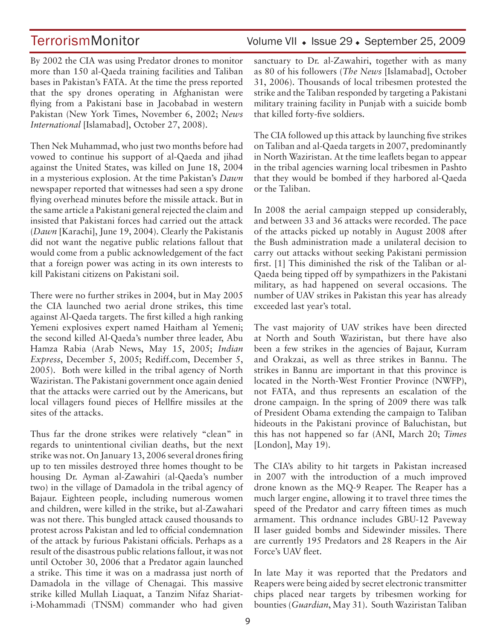By 2002 the CIA was using Predator drones to monitor more than 150 al-Qaeda training facilities and Taliban bases in Pakistan's FATA. At the time the press reported that the spy drones operating in Afghanistan were flying from a Pakistani base in Jacobabad in western Pakistan (New York Times, November 6, 2002; *News International* [Islamabad], October 27, 2008).

Then Nek Muhammad, who just two months before had vowed to continue his support of al-Qaeda and jihad against the United States, was killed on June 18, 2004 in a mysterious explosion. At the time Pakistan's *Dawn* newspaper reported that witnesses had seen a spy drone flying overhead minutes before the missile attack. But in the same article a Pakistani general rejected the claim and insisted that Pakistani forces had carried out the attack (*Dawn* [Karachi], June 19, 2004). Clearly the Pakistanis did not want the negative public relations fallout that would come from a public acknowledgement of the fact that a foreign power was acting in its own interests to kill Pakistani citizens on Pakistani soil.

There were no further strikes in 2004, but in May 2005 the CIA launched two aerial drone strikes, this time against Al-Qaeda targets. The first killed a high ranking Yemeni explosives expert named Haitham al Yemeni; the second killed Al-Qaeda's number three leader, Abu Hamza Rabia (Arab News, May 15, 2005; *Indian Express*, December 5, 2005; Rediff.com, December 5, 2005). Both were killed in the tribal agency of North Waziristan. The Pakistani government once again denied that the attacks were carried out by the Americans, but local villagers found pieces of Hellfire missiles at the sites of the attacks.

Thus far the drone strikes were relatively "clean" in regards to unintentional civilian deaths, but the next strike was not. On January 13, 2006 several drones firing up to ten missiles destroyed three homes thought to be housing Dr. Ayman al-Zawahiri (al-Qaeda's number two) in the village of Damadola in the tribal agency of Bajaur. Eighteen people, including numerous women and children, were killed in the strike, but al-Zawahari was not there. This bungled attack caused thousands to protest across Pakistan and led to official condemnation of the attack by furious Pakistani officials. Perhaps as a result of the disastrous public relations fallout, it was not until October 30, 2006 that a Predator again launched a strike. This time it was on a madrassa just north of Damadola in the village of Chenagai. This massive strike killed Mullah Liaquat, a Tanzim Nifaz Shariati-Mohammadi (TNSM) commander who had given

## TerrorismMonitor Volume VII • Issue 29 • September 25, 2009

sanctuary to Dr. al-Zawahiri, together with as many as 80 of his followers (*The News* [Islamabad], October 31, 2006). Thousands of local tribesmen protested the strike and the Taliban responded by targeting a Pakistani military training facility in Punjab with a suicide bomb that killed forty-five soldiers.

The CIA followed up this attack by launching five strikes on Taliban and al-Qaeda targets in 2007, predominantly in North Waziristan. At the time leaflets began to appear in the tribal agencies warning local tribesmen in Pashto that they would be bombed if they harbored al-Qaeda or the Taliban.

In 2008 the aerial campaign stepped up considerably, and between 33 and 36 attacks were recorded. The pace of the attacks picked up notably in August 2008 after the Bush administration made a unilateral decision to carry out attacks without seeking Pakistani permission first. [1] This diminished the risk of the Taliban or al-Qaeda being tipped off by sympathizers in the Pakistani military, as had happened on several occasions. The number of UAV strikes in Pakistan this year has already exceeded last year's total.

The vast majority of UAV strikes have been directed at North and South Waziristan, but there have also been a few strikes in the agencies of Bajaur, Kurram and Orakzai, as well as three strikes in Bannu. The strikes in Bannu are important in that this province is located in the North-West Frontier Province (NWFP), not FATA, and thus represents an escalation of the drone campaign. In the spring of 2009 there was talk of President Obama extending the campaign to Taliban hideouts in the Pakistani province of Baluchistan, but this has not happened so far (ANI, March 20; *Times* [London], May 19).

The CIA's ability to hit targets in Pakistan increased in 2007 with the introduction of a much improved drone known as the MQ-9 Reaper. The Reaper has a much larger engine, allowing it to travel three times the speed of the Predator and carry fifteen times as much armament. This ordnance includes GBU-12 Paveway II laser guided bombs and Sidewinder missiles. There are currently 195 Predators and 28 Reapers in the Air Force's UAV fleet.

In late May it was reported that the Predators and Reapers were being aided by secret electronic transmitter chips placed near targets by tribesmen working for bounties (*Guardian*, May 31). South Waziristan Taliban